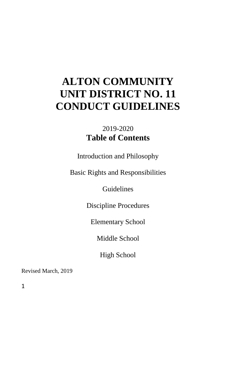# **ALTON COMMUNITY UNIT DISTRICT NO. 11 CONDUCT GUIDELINES**

## 2019-2020 **Table of Contents**

Introduction and Philosophy

Basic Rights and Responsibilities

Guidelines

Discipline Procedures

Elementary School

Middle School

High School

Revised March, 2019

1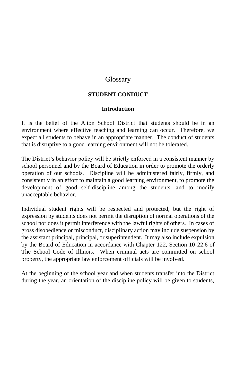### **Glossary**

### **STUDENT CONDUCT**

#### **Introduction**

It is the belief of the Alton School District that students should be in an environment where effective teaching and learning can occur. Therefore, we expect all students to behave in an appropriate manner. The conduct of students that is disruptive to a good learning environment will not be tolerated.

The District's behavior policy will be strictly enforced in a consistent manner by school personnel and by the Board of Education in order to promote the orderly operation of our schools. Discipline will be administered fairly, firmly, and consistently in an effort to maintain a good learning environment, to promote the development of good self-discipline among the students, and to modify unacceptable behavior.

Individual student rights will be respected and protected, but the right of expression by students does not permit the disruption of normal operations of the school nor does it permit interference with the lawful rights of others. In cases of gross disobedience or misconduct, disciplinary action may include suspension by the assistant principal, principal, or superintendent. It may also include expulsion by the Board of Education in accordance with Chapter 122, Section 10-22.6 of The School Code of Illinois. When criminal acts are committed on school property, the appropriate law enforcement officials will be involved.

At the beginning of the school year and when students transfer into the District during the year, an orientation of the discipline policy will be given to students,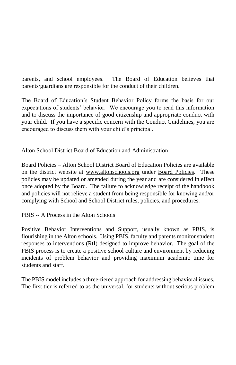parents, and school employees. The Board of Education believes that parents/guardians are responsible for the conduct of their children.

The Board of Education's Student Behavior Policy forms the basis for our expectations of students' behavior. We encourage you to read this information and to discuss the importance of good citizenship and appropriate conduct with your child. If you have a specific concern with the Conduct Guidelines, you are encouraged to discuss them with your child's principal.

Alton School District Board of Education and Administration

Board Policies – Alton School District Board of Education Policies are available on the district website at [www.altonschools.org](http://www.altonschools.org/) under Board Policies. These policies may be updated or amended during the year and are considered in effect once adopted by the Board. The failure to acknowledge receipt of the handbook and policies will not relieve a student from being responsible for knowing and/or complying with School and School District rules, policies, and procedures.

PBIS -- A Process in the Alton Schools

Positive Behavior Interventions and Support, usually known as PBIS, is flourishing in the Alton schools. Using PBIS, faculty and parents monitor student responses to interventions (RtI) designed to improve behavior. The goal of the PBIS process is to create a positive school culture and environment by reducing incidents of problem behavior and providing maximum academic time for students and staff.

The PBIS model includes a three-tiered approach for addressing behavioral issues. The first tier is referred to as the universal, for students without serious problem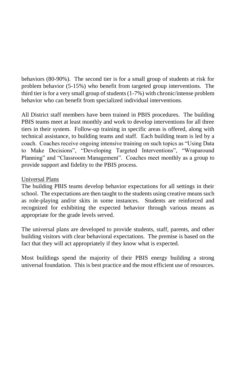behaviors (80-90%). The second tier is for a small group of students at risk for problem behavior (5-15%) who benefit from targeted group interventions. The third tier is for a very small group of students (1-7%) with chronic/intense problem behavior who can benefit from specialized individual interventions.

All District staff members have been trained in PBIS procedures. The building PBIS teams meet at least monthly and work to develop interventions for all three tiers in their system. Follow-up training in specific areas is offered, along with technical assistance, to building teams and staff. Each building team is led by a coach. Coaches receive ongoing intensive training on such topics as "Using Data to Make Decisions", "Developing Targeted Interventions", "Wraparound Planning" and "Classroom Management". Coaches meet monthly as a group to provide support and fidelity to the PBIS process.

### Universal Plans

The building PBIS teams develop behavior expectations for all settings in their school. The expectations are then taught to the students using creative means such as role-playing and/or skits in some instances. Students are reinforced and recognized for exhibiting the expected behavior through various means as appropriate for the grade levels served.

The universal plans are developed to provide students, staff, parents, and other building visitors with clear behavioral expectations. The premise is based on the fact that they will act appropriately if they know what is expected.

Most buildings spend the majority of their PBIS energy building a strong universal foundation. This is best practice and the most efficient use of resources.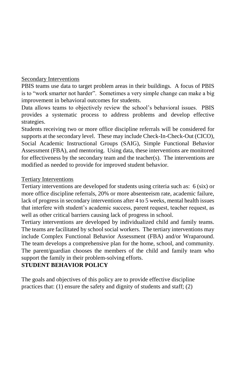#### Secondary Interventions

PBIS teams use data to target problem areas in their buildings. A focus of PBIS is to "work smarter not harder". Sometimes a very simple change can make a big improvement in behavioral outcomes for students.

Data allows teams to objectively review the school's behavioral issues. PBIS provides a systematic process to address problems and develop effective strategies.

Students receiving two or more office discipline referrals will be considered for supports at the secondary level. These may include Check-In-Check-Out (CICO), Social Academic Instructional Groups (SAIG), Simple Functional Behavior Assessment (FBA), and mentoring. Using data, these interventions are monitored for effectiveness by the secondary team and the teacher(s). The interventions are modified as needed to provide for improved student behavior.

#### Tertiary Interventions

Tertiary interventions are developed for students using criteria such as: 6 (six) or more office discipline referrals, 20% or more absenteeism rate, academic failure, lack of progress in secondary interventions after 4 to 5 weeks, mental health issues that interfere with student's academic success, parent request, teacher request, as well as other critical barriers causing lack of progress in school.

Tertiary interventions are developed by individualized child and family teams. The teams are facilitated by school social workers. The tertiary interventions may include Complex Functional Behavior Assessment (FBA) and/or Wraparound. The team develops a comprehensive plan for the home, school, and community. The parent/guardian chooses the members of the child and family team who support the family in their problem-solving efforts.

### **STUDENT BEHAVIOR POLICY**

The goals and objectives of this policy are to provide effective discipline practices that: (1) ensure the safety and dignity of students and staff; (2)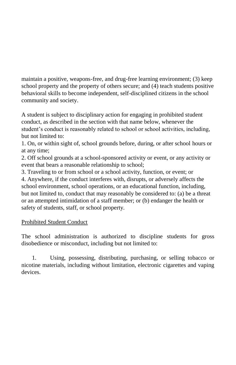maintain a positive, weapons-free, and drug-free learning environment; (3) keep school property and the property of others secure; and (4) teach students positive behavioral skills to become independent, self-disciplined citizens in the school community and society.

A student is subject to disciplinary action for engaging in prohibited student conduct, as described in the section with that name below, whenever the student's conduct is reasonably related to school or school activities, including, but not limited to:

1. On, or within sight of, school grounds before, during, or after school hours or at any time;

2. Off school grounds at a school-sponsored activity or event, or any activity or event that bears a reasonable relationship to school;

3. Traveling to or from school or a school activity, function, or event; or 4. Anywhere, if the conduct interferes with, disrupts, or adversely affects the school environment, school operations, or an educational function, including, but not limited to, conduct that may reasonably be considered to: (a) be a threat or an attempted intimidation of a staff member; or (b) endanger the health or safety of students, staff, or school property.

### Prohibited Student Conduct

The school administration is authorized to discipline students for gross disobedience or misconduct, including but not limited to:

 1. Using, possessing, distributing, purchasing, or selling tobacco or nicotine materials, including without limitation, electronic cigarettes and vaping devices.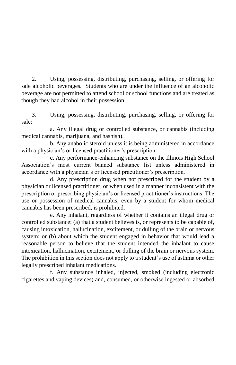2. Using, possessing, distributing, purchasing, selling, or offering for sale alcoholic beverages. Students who are under the influence of an alcoholic beverage are not permitted to attend school or school functions and are treated as though they had alcohol in their possession.

3. Using, possessing, distributing, purchasing, selling, or offering for sale:

a. Any illegal drug or controlled substance, or cannabis (including medical cannabis, marijuana, and hashish).

b. Any anabolic steroid unless it is being administered in accordance with a physician's or licensed practitioner's prescription.

c. Any performance-enhancing substance on the Illinois High School Association's most current banned substance list unless administered in accordance with a physician's or licensed practitioner's prescription.

d. Any prescription drug when not prescribed for the student by a physician or licensed practitioner, or when used in a manner inconsistent with the prescription or prescribing physician's or licensed practitioner's instructions. The use or possession of medical cannabis, even by a student for whom medical cannabis has been prescribed, is prohibited.

e. Any inhalant, regardless of whether it contains an illegal drug or controlled substance: (a) that a student believes is, or represents to be capable of, causing intoxication, hallucination, excitement, or dulling of the brain or nervous system; or (b) about which the student engaged in behavior that would lead a reasonable person to believe that the student intended the inhalant to cause intoxication, hallucination, excitement, or dulling of the brain or nervous system. The prohibition in this section does not apply to a student's use of asthma or other legally prescribed inhalant medications.

f. Any substance inhaled, injected, smoked (including electronic cigarettes and vaping devices) and, consumed, or otherwise ingested or absorbed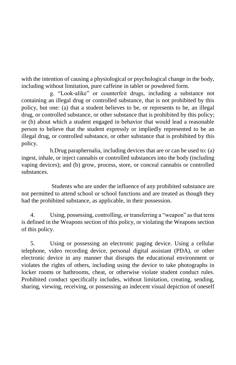with the intention of causing a physiological or psychological change in the body, including without limitation, pure caffeine in tablet or powdered form.

g. "Look-alike" or counterfeit drugs, including a substance not containing an illegal drug or controlled substance, that is not prohibited by this policy, but one: (a) that a student believes to be, or represents to be, an illegal drug, or controlled substance, or other substance that is prohibited by this policy; or (b) about which a student engaged in behavior that would lead a reasonable person to believe that the student expressly or impliedly represented to be an illegal drug, or controlled substance, or other substance that is prohibited by this policy.

h.Drug paraphernalia, including devices that are or can be used to: (a) ingest, inhale, or inject cannabis or controlled substances into the body (including vaping devices); and (b) grow, process, store, or conceal cannabis or controlled substances.

Students who are under the influence of any prohibited substance are not permitted to attend school or school functions and are treated as though they had the prohibited substance, as applicable, in their possession.

4. Using, possessing, controlling, or transferring a "weapon" as that term is defined in the Weapons section of this policy, or violating the Weapons section of this policy.

5. Using or possessing an electronic paging device. Using a cellular telephone, video recording device, personal digital assistant (PDA), or other electronic device in any manner that disrupts the educational environment or violates the rights of others, including using the device to take photographs in locker rooms or bathrooms, cheat, or otherwise violate student conduct rules. Prohibited conduct specifically includes, without limitation, creating, sending, sharing, viewing, receiving, or possessing an indecent visual depiction of oneself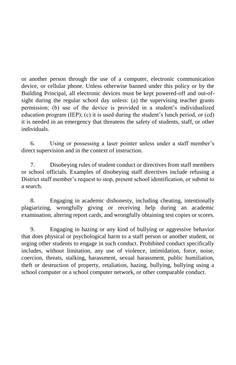or another person through the use of a computer, electronic communication device, or cellular phone. Unless otherwise banned under this policy or by the Building Principal, all electronic devices must be kept powered-off and out-ofsight during the regular school day unless: (a) the supervising teacher grants permission; (b) use of the device is provided in a student's individualized education program (IEP); (c) it is used during the student's lunch period, or (cd) it is needed in an emergency that threatens the safety of students, staff, or other individuals.

6. Using or possessing a laser pointer unless under a staff member's direct supervision and in the context of instruction.

7. Disobeying rules of student conduct or directives from staff members or school officials. Examples of disobeying staff directives include refusing a District staff member's request to stop, present school identification, or submit to a search.

8. Engaging in academic dishonesty, including cheating, intentionally plagiarizing, wrongfully giving or receiving help during an academic examination, altering report cards, and wrongfully obtaining test copies or scores.

9. Engaging in hazing or any kind of bullying or aggressive behavior that does physical or psychological harm to a staff person or another student, or urging other students to engage in such conduct. Prohibited conduct specifically includes, without limitation, any use of violence, intimidation, force, noise, coercion, threats, stalking, harassment, sexual harassment, public humiliation, theft or destruction of property, retaliation, hazing, bullying, bullying using a school computer or a school computer network, or other comparable conduct.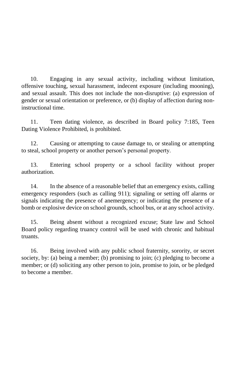10. Engaging in any sexual activity, including without limitation, offensive touching, sexual harassment, indecent exposure (including mooning), and sexual assault. This does not include the non-disruptive: (a) expression of gender or sexual orientation or preference, or (b) display of affection during noninstructional time.

11. Teen dating violence, as described in Board policy 7:185, Teen Dating Violence Prohibited, is prohibited.

12. Causing or attempting to cause damage to, or stealing or attempting to steal, school property or another person's personal property.

13. Entering school property or a school facility without proper authorization.

14. In the absence of a reasonable belief that an emergency exists, calling emergency responders (such as calling 911); signaling or setting off alarms or signals indicating the presence of anemergency; or indicating the presence of a bomb or explosive device on school grounds, school bus, or at any school activity.

15. Being absent without a recognized excuse; State law and School Board policy regarding truancy control will be used with chronic and habitual truants.

16. Being involved with any public school fraternity, sorority, or secret society, by: (a) being a member; (b) promising to join; (c) pledging to become a member; or (d) soliciting any other person to join, promise to join, or be pledged to become a member.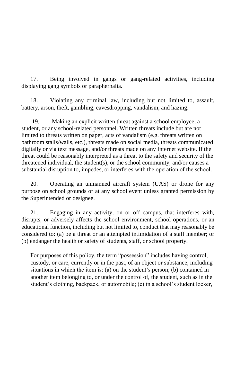17. Being involved in gangs or gang-related activities, including displaying gang symbols or paraphernalia.

18. Violating any criminal law, including but not limited to, assault, battery, arson, theft, gambling, eavesdropping, vandalism, and hazing.

 19. Making an explicit written threat against a school employee, a student, or any school-related personnel. Written threats include but are not limited to threats written on paper, acts of vandalism (e.g. threats written on bathroom stalls/walls, etc.), threats made on social media, threats communicated digitally or via text message, and/or threats made on any Internet website. If the threat could be reasonably interpreted as a threat to the safety and security of the threatened individual, the student(s), or the school community, and/or causes a substantial disruption to, impedes, or interferes with the operation of the school.

20. Operating an unmanned aircraft system (UAS) or drone for any purpose on school grounds or at any school event unless granted permission by the Superintended or designee.

21. Engaging in any activity, on or off campus, that interferes with, disrupts, or adversely affects the school environment, school operations, or an educational function, including but not limited to, conduct that may reasonably be considered to: (a) be a threat or an attempted intimidation of a staff member; or (b) endanger the health or safety of students, staff, or school property.

For purposes of this policy, the term "possession" includes having control, custody, or care, currently or in the past, of an object or substance, including situations in which the item is: (a) on the student's person; (b) contained in another item belonging to, or under the control of, the student, such as in the student's clothing, backpack, or automobile; (c) in a school's student locker,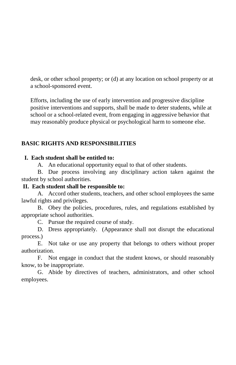desk, or other school property; or (d) at any location on school property or at a school-sponsored event.

Efforts, including the use of early intervention and progressive discipline positive interventions and supports, shall be made to deter students, while at school or a school-related event, from engaging in aggressive behavior that may reasonably produce physical or psychological harm to someone else.

### **BASIC RIGHTS AND RESPONSIBILITIES**

### **I. Each student shall be entitled to:**

A. An educational opportunity equal to that of other students.

B. Due process involving any disciplinary action taken against the student by school authorities.

### **II. Each student shall be responsible to:**

A. Accord other students, teachers, and other school employees the same lawful rights and privileges.

B. Obey the policies, procedures, rules, and regulations established by appropriate school authorities.

C. Pursue the required course of study.

D. Dress appropriately. (Appearance shall not disrupt the educational process.)

E. Not take or use any property that belongs to others without proper authorization.

F. Not engage in conduct that the student knows, or should reasonably know, to be inappropriate.

G. Abide by directives of teachers, administrators, and other school employees.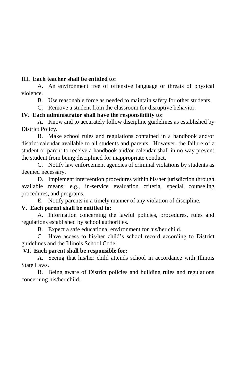#### **III. Each teacher shall be entitled to:**

A. An environment free of offensive language or threats of physical violence.

B. Use reasonable force as needed to maintain safety for other students.

C. Remove a student from the classroom for disruptive behavior.

#### **IV. Each administrator shall have the responsibility to:**

A. Know and to accurately follow discipline guidelines as established by District Policy.

B. Make school rules and regulations contained in a handbook and/or district calendar available to all students and parents. However, the failure of a student or parent to receive a handbook and/or calendar shall in no way prevent the student from being disciplined for inappropriate conduct.

C. Notify law enforcement agencies of criminal violations by students as deemed necessary.

D. Implement intervention procedures within his/her jurisdiction through available means; e.g., in-service evaluation criteria, special counseling procedures, and programs.

E. Notify parents in a timely manner of any violation of discipline.

### **V. Each parent shall be entitled to:**

A. Information concerning the lawful policies, procedures, rules and regulations established by school authorities.

B. Expect a safe educational environment for his/her child.

C. Have access to his/her child's school record according to District guidelines and the Illinois School Code.

#### **VI. Each parent shall be responsible for:**

A. Seeing that his/her child attends school in accordance with Illinois State Laws.

B. Being aware of District policies and building rules and regulations concerning his/her child.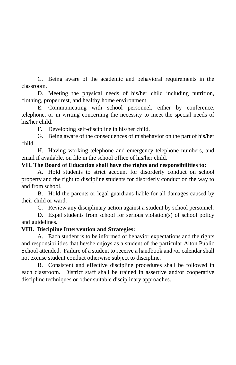C. Being aware of the academic and behavioral requirements in the classroom.

D. Meeting the physical needs of his/her child including nutrition, clothing, proper rest, and healthy home environment.

E. Communicating with school personnel, either by conference, telephone, or in writing concerning the necessity to meet the special needs of his/her child.

F. Developing self-discipline in his/her child.

G. Being aware of the consequences of misbehavior on the part of his/her child.

H. Having working telephone and emergency telephone numbers, and email if available, on file in the school office of his/her child.

#### **VII. The Board of Education shall have the rights and responsibilities to:**

A. Hold students to strict account for disorderly conduct on school property and the right to discipline students for disorderly conduct on the way to and from school.

B. Hold the parents or legal guardians liable for all damages caused by their child or ward.

C. Review any disciplinary action against a student by school personnel.

D. Expel students from school for serious violation(s) of school policy and guidelines.

### **VIII. Discipline Intervention and Strategies:**

A. Each student is to be informed of behavior expectations and the rights and responsibilities that he/she enjoys as a student of the particular Alton Public School attended. Failure of a student to receive a handbook and /or calendar shall not excuse student conduct otherwise subject to discipline.

B. Consistent and effective discipline procedures shall be followed in each classroom. District staff shall be trained in assertive and/or cooperative discipline techniques or other suitable disciplinary approaches.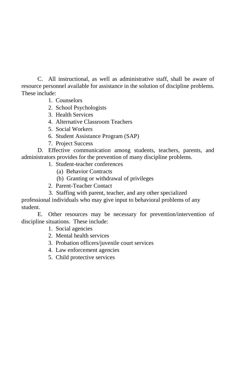C. All instructional, as well as administrative staff, shall be aware of resource personnel available for assistance in the solution of discipline problems. These include:

- 1. Counselors
- 2. School Psychologists
- 3. Health Services
- 4. Alternative Classroom Teachers
- 5. Social Workers
- 6. Student Assistance Program (SAP)
- 7. Project Success

D. Effective communication among students, teachers, parents, and administrators provides for the prevention of many discipline problems.

- 1. Student-teacher conferences
	- (a) Behavior Contracts
	- (b) Granting or withdrawal of privileges
- 2. Parent-Teacher Contact
- 3. Staffing with parent, teacher, and any other specialized

professional individuals who may give input to behavioral problems of any student.

E. Other resources may be necessary for prevention/intervention of discipline situations. These include:

- 1. Social agencies
- 2. Mental health services
- 3. Probation officers/juvenile court services
- 4. Law enforcement agencies
- 5. Child protective services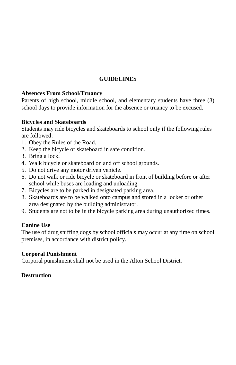### **GUIDELINES**

### **Absences From School/Truancy**

Parents of high school, middle school, and elementary students have three (3) school days to provide information for the absence or truancy to be excused.

#### **Bicycles and Skateboards**

Students may ride bicycles and skateboards to school only if the following rules are followed:

- 1. Obey the Rules of the Road.
- 2. Keep the bicycle or skateboard in safe condition.
- 3. Bring a lock.
- 4. Walk bicycle or skateboard on and off school grounds.
- 5. Do not drive any motor driven vehicle.
- 6. Do not walk or ride bicycle or skateboard in front of building before or after school while buses are loading and unloading.
- 7. Bicycles are to be parked in designated parking area.
- 8. Skateboards are to be walked onto campus and stored in a locker or other area designated by the building administrator.
- 9. Students are not to be in the bicycle parking area during unauthorized times.

### **Canine Use**

The use of drug sniffing dogs by school officials may occur at any time on school premises, in accordance with district policy.

#### **Corporal Punishment**

Corporal punishment shall not be used in the Alton School District.

#### **Destruction**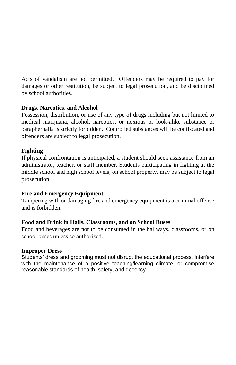Acts of vandalism are not permitted. Offenders may be required to pay for damages or other restitution, be subject to legal prosecution, and be disciplined by school authorities.

### **Drugs, Narcotics, and Alcohol**

Possession, distribution, or use of any type of drugs including but not limited to medical marijuana, alcohol, narcotics, or noxious or look-alike substance or paraphernalia is strictly forbidden. Controlled substances will be confiscated and offenders are subject to legal prosecution.

#### **Fighting**

If physical confrontation is anticipated, a student should seek assistance from an administrator, teacher, or staff member. Students participating in fighting at the middle school and high school levels, on school property, may be subject to legal prosecution.

#### **Fire and Emergency Equipment**

Tampering with or damaging fire and emergency equipment is a criminal offense and is forbidden.

### **Food and Drink in Halls, Classrooms, and on School Buses**

Food and beverages are not to be consumed in the hallways, classrooms, or on school buses unless so authorized.

#### **Improper Dress**

Students' dress and grooming must not disrupt the educational process, interfere with the maintenance of a positive teaching/learning climate, or compromise reasonable standards of health, safety, and decency.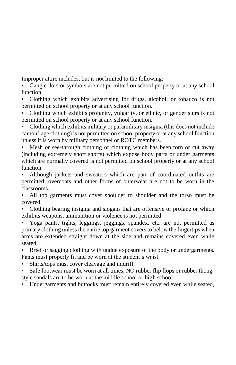Improper attire includes, but is not limited to the following:

• Gang colors or symbols are not permitted on school property or at any school function.

• Clothing which exhibits advertising for drugs, alcohol, or tobacco is not permitted on school property or at any school function.

• Clothing which exhibits profanity, vulgarity, or ethnic, or gender slurs is not permitted on school property or at any school function.

• Clothing which exhibits military or paramilitary insignia (this does not include camouflage clothing) is not permitted on school property or at any school function unless it is worn by military personnel or ROTC members.

Mesh or see-through clothing or clothing which has been torn or cut away (including extremely short shorts) which expose body parts or under garments which are normally covered is not permitted on school property or at any school function.

• Although jackets and sweaters which are part of coordinated outfits are permitted, overcoats and other forms of outerwear are not to be worn in the classrooms.

All top garments must cover shoulder to shoulder and the torso must be covered.

• Clothing bearing insignia and slogans that are offensive or profane or which exhibits weapons, ammunition or violence is not permitted

• Yoga pants, tights, leggings, jeggings, spandex, etc. are not permitted as primary clothing unless the entire top garment covers to below the fingertips when arms are extended straight down at the side and remains covered even while seated.

• Brief or sagging clothing with undue exposure of the body or undergarments. Pants must properly fit and be worn at the student's waist

- Shirts/tops must cover cleavage and midriff
- Safe footwear must be worn at all times, NO rubber flip flops or rubber thongstyle sandals are to be worn at the middle school or high school
- Undergarments and buttocks must remain entirely covered even while seated,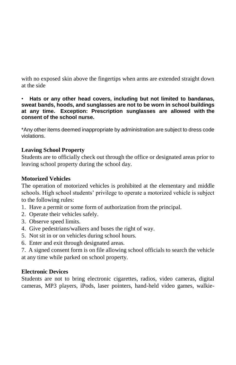with no exposed skin above the fingertips when arms are extended straight down at the side

• **Hats or any other head covers, including but not limited to bandanas, sweat bands, hoods, and sunglasses are not to be worn in school buildings at any time. Exception: Prescription sunglasses are allowed with the consent of the school nurse.**

\*Any other items deemed inappropriate by administration are subject to dress code violations.

### **Leaving School Property**

Students are to officially check out through the office or designated areas prior to leaving school property during the school day.

### **Motorized Vehicles**

The operation of motorized vehicles is prohibited at the elementary and middle schools. High school students' privilege to operate a motorized vehicle is subject to the following rules:

- 1. Have a permit or some form of authorization from the principal.
- 2. Operate their vehicles safely.
- 3. Observe speed limits.
- 4. Give pedestrians/walkers and buses the right of way.
- 5. Not sit in or on vehicles during school hours.
- 6. Enter and exit through designated areas.

7. A signed consent form is on file allowing school officials to search the vehicle at any time while parked on school property.

### **Electronic Devices**

Students are not to bring electronic cigarettes, radios, video cameras, digital cameras, MP3 players, iPods, laser pointers, hand-held video games, walkie-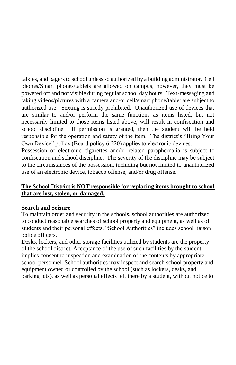talkies, and pagers to school unless so authorized by a building administrator. Cell phones/Smart phones/tablets are allowed on campus; however, they must be powered off and not visible during regular school day hours. Text-messaging and taking videos/pictures with a camera and/or cell/smart phone/tablet are subject to authorized use. Sexting is strictly prohibited. Unauthorized use of devices that are similar to and/or perform the same functions as items listed, but not necessarily limited to those items listed above, will result in confiscation and school discipline. If permission is granted, then the student will be held responsible for the operation and safety of the item. The district's "Bring Your Own Device" policy (Board policy 6:220) applies to electronic devices.

Possession of electronic cigarettes and/or related paraphernalia is subject to confiscation and school discipline. The severity of the discipline may be subject to the circumstances of the possession, including but not limited to unauthorized use of an electronic device, tobacco offense, and/or drug offense.

### **The School District is NOT responsible for replacing items brought to school that are lost, stolen, or damaged.**

#### **Search and Seizure**

To maintain order and security in the schools, school authorities are authorized to conduct reasonable searches of school property and equipment, as well as of students and their personal effects. "School Authorities" includes school liaison police officers.

Desks, lockers, and other storage facilities utilized by students are the property of the school district. Acceptance of the use of such facilities by the student implies consent to inspection and examination of the contents by appropriate school personnel. School authorities may inspect and search school property and equipment owned or controlled by the school (such as lockers, desks, and parking lots), as well as personal effects left there by a student, without notice to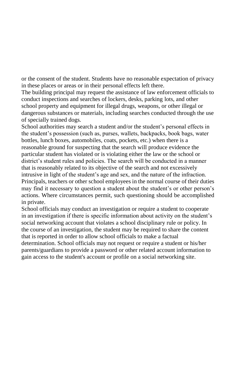or the consent of the student. Students have no reasonable expectation of privacy in these places or areas or in their personal effects left there.

The building principal may request the assistance of law enforcement officials to conduct inspections and searches of lockers, desks, parking lots, and other school property and equipment for illegal drugs, weapons, or other illegal or dangerous substances or materials, including searches conducted through the use of specially trained dogs.

School authorities may search a student and/or the student's personal effects in the student's possession (such as, purses, wallets, backpacks, book bags, water bottles, lunch boxes, automobiles, coats, pockets, etc.) when there is a reasonable ground for suspecting that the search will produce evidence the particular student has violated or is violating either the law or the school or district's student rules and policies. The search will be conducted in a manner that is reasonably related to its objective of the search and not excessively intrusive in light of the student's age and sex, and the nature of the infraction. Principals, teachers or other school employees in the normal course of their duties may find it necessary to question a student about the student's or other person's actions. Where circumstances permit, such questioning should be accomplished in private.

School officials may conduct an investigation or require a student to cooperate in an investigation if there is specific information about activity on the student's social networking account that violates a school disciplinary rule or policy. In the course of an investigation, the student may be required to share the content that is reported in order to allow school officials to make a factual determination. School officials may not request or require a student or his/her parents/guardians to provide a password or other related account information to gain access to the student's account or profile on a social networking site.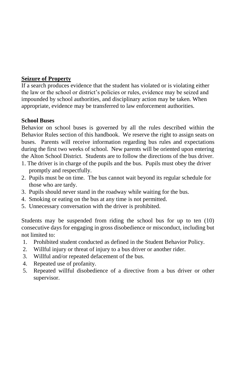### **Seizure of Property**

If a search produces evidence that the student has violated or is violating either the law or the school or district's policies or rules, evidence may be seized and impounded by school authorities, and disciplinary action may be taken. When appropriate, evidence may be transferred to law enforcement authorities.

### **School Buses**

Behavior on school buses is governed by all the rules described within the Behavior Rules section of this handbook. We reserve the right to assign seats on buses. Parents will receive information regarding bus rules and expectations during the first two weeks of school. New parents will be oriented upon entering the Alton School District. Students are to follow the directions of the bus driver.

- 1. The driver is in charge of the pupils and the bus. Pupils must obey the driver promptly and respectfully.
- 2. Pupils must be on time. The bus cannot wait beyond its regular schedule for those who are tardy.
- 3. Pupils should never stand in the roadway while waiting for the bus.
- 4. Smoking or eating on the bus at any time is not permitted.
- 5. Unnecessary conversation with the driver is prohibited.

Students may be suspended from riding the school bus for up to ten (10) consecutive days for engaging in gross disobedience or misconduct, including but not limited to:

- 1. Prohibited student conducted as defined in the Student Behavior Policy.
- 2. Willful injury or threat of injury to a bus driver or another rider.
- 3. Willful and/or repeated defacement of the bus.
- 4. Repeated use of profanity.
- 5. Repeated willful disobedience of a directive from a bus driver or other supervisor.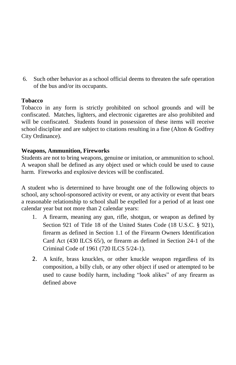6. Such other behavior as a school official deems to threaten the safe operation of the bus and/or its occupants.

### **Tobacco**

Tobacco in any form is strictly prohibited on school grounds and will be confiscated. Matches, lighters, and electronic cigarettes are also prohibited and will be confiscated. Students found in possession of these items will receive school discipline and are subject to citations resulting in a fine (Alton & Godfrey City Ordinance).

### **Weapons, Ammunition, Fireworks**

Students are not to bring weapons, genuine or imitation, or ammunition to school. A weapon shall be defined as any object used or which could be used to cause harm. Fireworks and explosive devices will be confiscated.

A student who is determined to have brought one of the following objects to school, any school-sponsored activity or event, or any activity or event that bears a reasonable relationship to school shall be expelled for a period of at least one calendar year but not more than 2 calendar years:

- 1. A firearm, meaning any gun, rifle, shotgun, or weapon as defined by Section 921 of Title 18 of the United States Code (18 U.S.C. § 921), firearm as defined in Section 1.1 of the Firearm Owners Identification Card Act (430 ILCS 65/), or firearm as defined in Section 24-1 of the Criminal Code of 1961 (720 ILCS 5/24-1).
- 2. A knife, brass knuckles, or other knuckle weapon regardless of its composition, a billy club, or any other object if used or attempted to be used to cause bodily harm, including "look alikes" of any firearm as defined above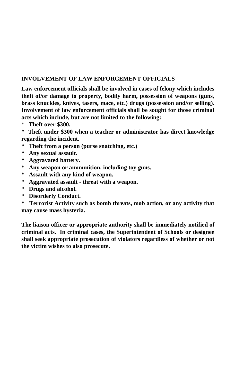### **INVOLVEMENT OF LAW ENFORCEMENT OFFICIALS**

**Law enforcement officials shall be involved in cases of felony which includes theft of/or damage to property, bodily harm, possession of weapons (guns, brass knuckles, knives, tasers, mace, etc.) drugs (possession and/or selling). Involvement of law enforcement officials shall be sought for those criminal acts which include, but are not limited to the following:**

\* **Theft over \$300.**

**\* Theft under \$300 when a teacher or administrator has direct knowledge regarding the incident.**

- **\* Theft from a person (purse snatching, etc.)**
- **\* Any sexual assault.**
- **\* Aggravated battery.**
- **\* Any weapon or ammunition, including toy guns.**
- **\* Assault with any kind of weapon.**
- **\* Aggravated assault - threat with a weapon.**
- **\* Drugs and alcohol.**
- **\* Disorderly Conduct.**
- **\* Terrorist Activity such as bomb threats, mob action, or any activity that may cause mass hysteria.**

**The liaison officer or appropriate authority shall be immediately notified of criminal acts. In criminal cases, the Superintendent of Schools or designee shall seek appropriate prosecution of violators regardless of whether or not the victim wishes to also prosecute.**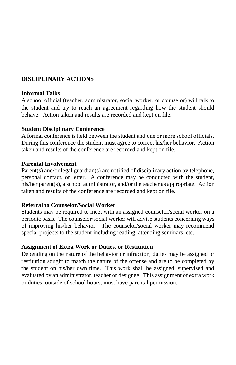### **DISCIPLINARY ACTIONS**

#### **Informal Talks**

A school official (teacher, administrator, social worker, or counselor) will talk to the student and try to reach an agreement regarding how the student should behave. Action taken and results are recorded and kept on file.

#### **Student Disciplinary Conference**

A formal conference is held between the student and one or more school officials. During this conference the student must agree to correct his/her behavior. Action taken and results of the conference are recorded and kept on file.

#### **Parental Involvement**

Parent(s) and/or legal guardian(s) are notified of disciplinary action by telephone, personal contact, or letter. A conference may be conducted with the student, his/her parent(s), a school administrator, and/or the teacher as appropriate. Action taken and results of the conference are recorded and kept on file.

#### **Referral to Counselor/Social Worker**

Students may be required to meet with an assigned counselor/social worker on a periodic basis. The counselor/social worker will advise students concerning ways of improving his/her behavior. The counselor/social worker may recommend special projects to the student including reading, attending seminars, etc.

#### **Assignment of Extra Work or Duties, or Restitution**

Depending on the nature of the behavior or infraction, duties may be assigned or restitution sought to match the nature of the offense and are to be completed by the student on his/her own time. This work shall be assigned, supervised and evaluated by an administrator, teacher or designee. This assignment of extra work or duties, outside of school hours, must have parental permission.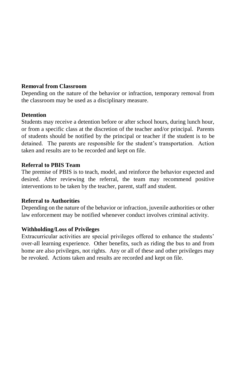#### **Removal from Classroom**

Depending on the nature of the behavior or infraction, temporary removal from the classroom may be used as a disciplinary measure.

#### **Detention**

Students may receive a detention before or after school hours, during lunch hour, or from a specific class at the discretion of the teacher and/or principal. Parents of students should be notified by the principal or teacher if the student is to be detained. The parents are responsible for the student's transportation. Action taken and results are to be recorded and kept on file.

#### **Referral to PBIS Team**

The premise of PBIS is to teach, model, and reinforce the behavior expected and desired. After reviewing the referral, the team may recommend positive interventions to be taken by the teacher, parent, staff and student.

### **Referral to Authorities**

Depending on the nature of the behavior or infraction, juvenile authorities or other law enforcement may be notified whenever conduct involves criminal activity.

### **Withholding/Loss of Privileges**

Extracurricular activities are special privileges offered to enhance the students' over-all learning experience. Other benefits, such as riding the bus to and from home are also privileges, not rights. Any or all of these and other privileges may be revoked. Actions taken and results are recorded and kept on file.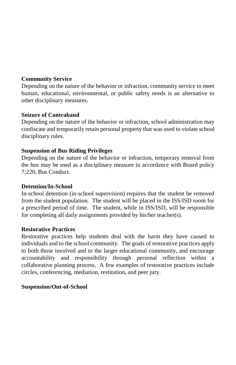### **Community Service**

Depending on the nature of the behavior or infraction, community service to meet human, educational, environmental, or public safety needs is an alternative to other disciplinary measures.

### **Seizure of Contraband**

Depending on the nature of the behavior or infraction, school administration may confiscate and temporarily retain personal property that was used to violate school disciplinary rules.

### **Suspension of Bus Riding Privileges**

Depending on the nature of the behavior or infraction, temporary removal from the bus may be used as a disciplinary measure in accordance with Board policy 7:220, Bus Conduct.

### **Detention/In-School**

In-school detention (in-school supervision) requires that the student be removed from the student population. The student will be placed in the ISS/ISD room for a prescribed period of time. The student, while in ISS/ISD, will be responsible for completing all daily assignments provided by his/her teacher(s).

### **Restorative Practices**

Restorative practices help students deal with the harm they have caused to individuals and to the school community. The goals of restorative practices apply to both those involved and to the larger educational community, and encourage accountability and responsibility through personal reflection within a collaborative planning process. A few examples of restorative practices include circles, conferencing, mediation, restitution, and peer jury.

### **Suspension/Out-of-School**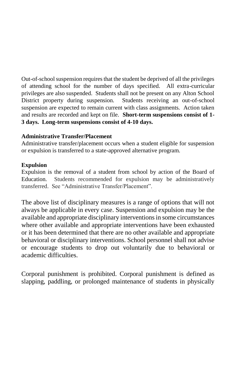Out-of-school suspension requires that the student be deprived of all the privileges of attending school for the number of days specified. All extra-curricular privileges are also suspended. Students shall not be present on any Alton School District property during suspension. Students receiving an out-of-school suspension are expected to remain current with class assignments. Action taken and results are recorded and kept on file. **Short-term suspensions consist of 1- 3 days. Long-term suspensions consist of 4-10 days.**

### **Administrative Transfer/Placement**

Administrative transfer/placement occurs when a student eligible for suspension or expulsion is transferred to a state-approved alternative program.

#### **Expulsion**

Expulsion is the removal of a student from school by action of the Board of Education. Students recommended for expulsion may be administratively transferred. See "Administrative Transfer/Placement".

The above list of disciplinary measures is a range of options that will not always be applicable in every case. Suspension and expulsion may be the available and appropriate disciplinary interventions in some circumstances where other available and appropriate interventions have been exhausted or it has been determined that there are no other available and appropriate behavioral or disciplinary interventions. School personnel shall not advise or encourage students to drop out voluntarily due to behavioral or academic difficulties.

Corporal punishment is prohibited. Corporal punishment is defined as slapping, paddling, or prolonged maintenance of students in physically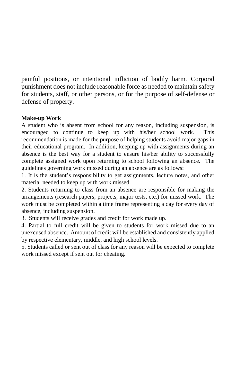painful positions, or intentional infliction of bodily harm. Corporal punishment does not include reasonable force as needed to maintain safety for students, staff, or other persons, or for the purpose of self-defense or defense of property.

### **Make-up Work**

A student who is absent from school for any reason, including suspension, is encouraged to continue to keep up with his/her school work. This recommendation is made for the purpose of helping students avoid major gaps in their educational program. In addition, keeping up with assignments during an absence is the best way for a student to ensure his/her ability to successfully complete assigned work upon returning to school following an absence. The guidelines governing work missed during an absence are as follows:

1. It is the student's responsibility to get assignments, lecture notes, and other material needed to keep up with work missed.

2. Students returning to class from an absence are responsible for making the arrangements (research papers, projects, major tests, etc.) for missed work. The work must be completed within a time frame representing a day for every day of absence, including suspension.

3. Students will receive grades and credit for work made up.

4. Partial to full credit will be given to students for work missed due to an unexcused absence. Amount of credit will be established and consistently applied by respective elementary, middle, and high school levels.

5. Students called or sent out of class for any reason will be expected to complete work missed except if sent out for cheating.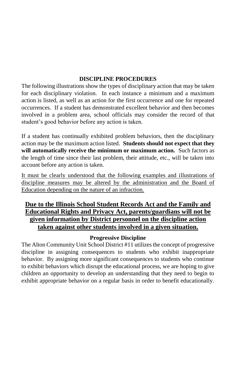### **DISCIPLINE PROCEDURES**

The following illustrations show the types of disciplinary action that may be taken for each disciplinary violation. In each instance a minimum and a maximum action is listed, as well as an action for the first occurrence and one for repeated occurrences. If a student has demonstrated excellent behavior and then becomes involved in a problem area, school officials may consider the record of that student's good behavior before any action is taken.

If a student has continually exhibited problem behaviors, then the disciplinary action may be the maximum action listed. **Students should not expect that they will automatically receive the minimum or maximum action.** Such factors as the length of time since their last problem, their attitude, etc., will be taken into account before any action is taken.

It must be clearly understood that the following examples and illustrations of discipline measures may be altered by the administration and the Board of Education depending on the nature of an infraction.

### **Due to the Illinois School Student Records Act and the Family and Educational Rights and Privacy Act, parents/guardians will not be given information by District personnel on the discipline action taken against other students involved in a given situation.**

### **Progressive Discipline**

The Alton Community Unit School District #11 utilizes the concept of progressive discipline in assigning consequences to students who exhibit inappropriate behavior. By assigning more significant consequences to students who continue to exhibit behaviors which disrupt the educational process, we are hoping to give children an opportunity to develop an understanding that they need to begin to exhibit appropriate behavior on a regular basis in order to benefit educationally.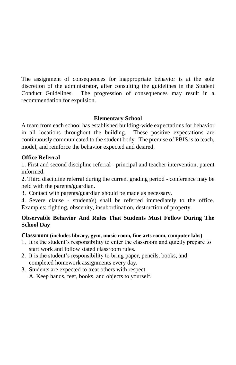The assignment of consequences for inappropriate behavior is at the sole discretion of the administrator, after consulting the guidelines in the Student Conduct Guidelines. The progression of consequences may result in a recommendation for expulsion.

### **Elementary School**

A team from each school has established building-wide expectations for behavior in all locations throughout the building. These positive expectations are continuously communicated to the student body. The premise of PBIS is to teach, model, and reinforce the behavior expected and desired.

### **Office Referral**

1. First and second discipline referral - principal and teacher intervention, parent informed.

2. Third discipline referral during the current grading period - conference may be held with the parents/guardian.

3. Contact with parents/guardian should be made as necessary.

4. Severe clause - student(s) shall be referred immediately to the office. Examples: fighting, obscenity, insubordination, destruction of property.

### **Observable Behavior And Rules That Students Must Follow During The School Day**

### **Classroom (includes library, gym, music room, fine arts room, computer labs)**

- 1. It is the student's responsibility to enter the classroom and quietly prepare to start work and follow stated classroom rules.
- 2. It is the student's responsibility to bring paper, pencils, books, and completed homework assignments every day.
- 3. Students are expected to treat others with respect. A. Keep hands, feet, books, and objects to yourself.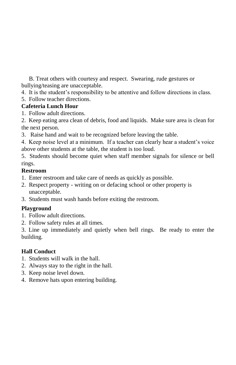B. Treat others with courtesy and respect. Swearing, rude gestures or bullying/teasing are unacceptable.

4. It is the student's responsibility to be attentive and follow directions in class.

5. Follow teacher directions.

### **Cafeteria Lunch Hour**

- 1. Follow adult directions.
- 2. Keep eating area clean of debris, food and liquids. Make sure area is clean for the next person.
- 3. Raise hand and wait to be recognized before leaving the table.
- 4. Keep noise level at a minimum. If a teacher can clearly hear a student's voice above other students at the table, the student is too loud.

5. Students should become quiet when staff member signals for silence or bell rings.

### **Restroom**

- 1. Enter restroom and take care of needs as quickly as possible.
- 2. Respect property writing on or defacing school or other property is unacceptable.
- 3. Students must wash hands before exiting the restroom.

### **Playground**

- 1. Follow adult directions.
- 2. Follow safety rules at all times.

3. Line up immediately and quietly when bell rings. Be ready to enter the building.

### **Hall Conduct**

- 1. Students will walk in the hall.
- 2. Always stay to the right in the hall.
- 3. Keep noise level down.
- 4. Remove hats upon entering building.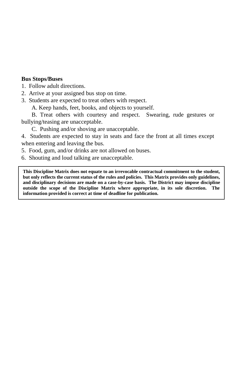#### **Bus Stops/Buses**

1. Follow adult directions.

2. Arrive at your assigned bus stop on time.

3. Students are expected to treat others with respect.

A. Keep hands, feet, books, and objects to yourself.

B. Treat others with courtesy and respect. Swearing, rude gestures or bullying/teasing are unacceptable.

C. Pushing and/or shoving are unacceptable.

4. Students are expected to stay in seats and face the front at all times except when entering and leaving the bus.

5. Food, gum, and/or drinks are not allowed on buses.

6. Shouting and loud talking are unacceptable.

**This Discipline Matrix does not equate to an irrevocable contractual commitment to the student, but only reflects the current status of the rules and policies. This Matrix provides only guidelines, and disciplinary decisions are made on a case-by-case basis. The District may impose discipline outside the scope of the Discipline Matrix where appropriate, in its sole discretion. The information provided is correct at time of deadline for publication.**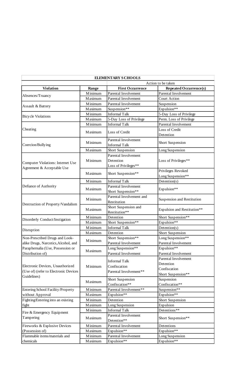|                                       |                    | <b>ELEMENTARY SCHOOLS</b>                    |                                         |
|---------------------------------------|--------------------|----------------------------------------------|-----------------------------------------|
|                                       | Action to be taken |                                              |                                         |
| Violation                             | Range              | <b>First Occurrence</b>                      | <b>Repeated Occurrence(s)</b>           |
|                                       | M inimum           | Parental Involvement                         | Parental Involvement                    |
| Absences/Truancy                      | <b>Maximum</b>     | Parental Involvement                         | Court Action                            |
|                                       | <b>M</b> inimum    | Parental Involvement                         | Suspension                              |
| Assault & Battery                     | <b>Maximum</b>     | Suspension**                                 | Expulsion**                             |
|                                       | Minimum            | <b>Informal Talk</b>                         | 5-Day Loss of Privilege                 |
| <b>Bicycle Violations</b>             | <b>Maximum</b>     | 5-Day Loss of Privilege                      | Perm. Loss of Privilege                 |
|                                       | <b>M</b> inimum    | <b>Informal Talk</b>                         | Parental Involvement                    |
| Cheating                              | <b>Maximum</b>     | Loss of Credit                               | Loss of Credit<br>Detention             |
| Coercion/Bullying                     | M inimum           | Parental Involvement<br><b>Informal Talk</b> | Short Suspension                        |
|                                       | M aximum           | Short Suspension                             | Long Suspension                         |
|                                       |                    | Parental Involvement                         |                                         |
|                                       | M inimum           | Detention                                    | Loss of Privileges**                    |
| Computer Violations: Internet Use     |                    | Loss of Privileges**                         |                                         |
| Agreement & Acceptable Use            | <b>Maximum</b>     | Short Suspension**                           | Privileges Revoked<br>Long Suspension** |
|                                       | <b>M</b> inimum    | <b>Informal Talk</b>                         | Detention(s)                            |
| Defiance of Authority                 |                    | Parental Involvement                         |                                         |
|                                       | <b>Maximum</b>     | Short Suspension**                           | Expulsion**                             |
|                                       |                    | Parental Involvement and                     |                                         |
|                                       | <b>M</b> inimum    | Restitution                                  | Suspension and Restitution              |
| Destruction of Property/Vandalism     | <b>Maximum</b>     | Short Suspension and                         |                                         |
|                                       |                    | Restitution**                                | Expulsion and Restitution**             |
|                                       | <b>M</b> inimum    | Detention                                    | Short Suspension**                      |
| Disorderly Conduct/Instigation        | <b>Maximum</b>     | Short Suspension**                           | Expulsion**                             |
|                                       | <b>M</b> inimum    | <b>Informal Talk</b>                         | Detention(s)                            |
| Disruption                            | <b>Maximum</b>     | Detention                                    | Short Suspension                        |
| Non-Prescribed Drugs and Look-        |                    | Short Suspension**                           | Long Suspension**                       |
| alike Drugs, Narcotics, Alcohol, and  | M inimum           | Parental Involvement                         | Parental Involvement                    |
| Paraphernalia (Use, Possession or     |                    | Long Suspension**                            | Expulsion**                             |
| Distribution of)                      | M aximum           | Parental Involvement                         | Parental Involvement                    |
|                                       |                    |                                              | Parental Involvement                    |
|                                       |                    | <b>Informal Talk</b>                         | Detention                               |
| Electronic Devices, Unauthorized      | M inimum           | Confiscation                                 | Confiscation                            |
| (Use of) (refer to Electronic Devices |                    | Parental Involvement**                       | Short Suspension**                      |
| Guidelines)                           |                    | Short Suspension                             | Suspension                              |
|                                       | <b>Maximum</b>     | Confiscation**                               | Confiscation**                          |
| Entering School Facility/Property     | M inimum           | Parental Involvement**                       | Suspension**                            |
| without Approval                      | <b>Maximum</b>     | Expulsion**                                  | Expulsion**                             |
| Fighting/Entering into an existing    | <b>M</b> inimum    | Detention                                    | Short Suspension                        |
| fight                                 | <b>Maximum</b>     | Long Suspension                              | Expulsion                               |
| Fire & Emergency Equipment            | <b>M</b> inimum    | <b>Informal Talk</b>                         | Detentions**                            |
| Tampering                             | <b>Maximum</b>     | Parental Involvement<br>Detention**          | Short Suspension**                      |
| Fireworks & Explosive Devices         | <b>M</b> inimum    | Parental Involvement                         | Detentions                              |
| (Possession of)                       | <b>Maximum</b>     | Expulsion**                                  | Expulsion**                             |
| Flammable items/materials and         | <b>M</b> inimum    | Parental Involvement                         | Long Suspension                         |
| chemicals                             | <b>Maximum</b>     | Expulsion**                                  | Expulsion**                             |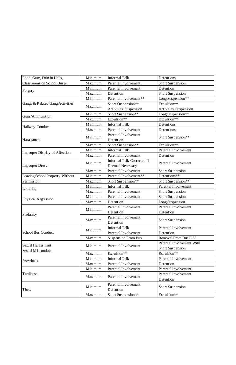| Food, Gum, Drin in Halls,         | Minimum         | <b>Informal Talk</b>                                  | Detentions                        |
|-----------------------------------|-----------------|-------------------------------------------------------|-----------------------------------|
| <b>Classrooms on School Buses</b> | Maximum         | Parental Involvement                                  | Short Suspension                  |
| Forgery                           | Minimum         | Parental Involvement                                  | Detention                         |
|                                   | Maximum         | Detention                                             | Short Suspension                  |
|                                   | <b>M</b> inimum | Parental Involvement**                                | Long Suspension**                 |
| Gangs & Related Gang Activities   |                 | Short Suspension**                                    | Expulsion**                       |
|                                   | Maximum         | <b>Activities' Suspension</b>                         | <b>Activities' Suspension</b>     |
| Guns/Ammunition                   | M inimum        | Short Suspension**                                    | Long Suspension**                 |
|                                   | Maximum         | Expulsion**                                           | Expulsion**                       |
|                                   | <b>M</b> inimum | <b>Informal Talk</b>                                  | Detentions                        |
| Hallway Conduct                   | Maximum         | Parental Involvement                                  | Detentions                        |
| Harassment                        | M inimum        | Parental Involvement<br>Detention                     | Short Suspension**                |
|                                   | Maximum         | Short Suspension**                                    | Expulsion**                       |
| Improper Display of Affection     | <b>M</b> inimum | <b>Informal Talk</b>                                  | Parental Involvement              |
|                                   | Maximum         | Parental Involvement                                  | Detention                         |
| <b>Improper Dress</b>             | <b>M</b> inimum | <b>Informal Talk-Corrected If</b><br>Deemed Necessary | Parental Involvement              |
|                                   | Maximum         | Parental Involvement                                  | Short Suspension                  |
| Leaving School Property Without   | M inimum        | Parental Involvement**                                | Detentions**                      |
| Permission                        | Maximum         | Short Suspension**                                    | Short Suspension**                |
|                                   | M inimum        | <b>Informal Talk</b>                                  | Parental Involvement              |
| Loitering                         | Maximum         | Parental Involvement                                  | Short Suspension                  |
|                                   | <b>M</b> inimum | Parental Involvement                                  | Short Suspension                  |
| Physical Aggression               | Maximum         | Detention                                             | Long Suspension                   |
|                                   |                 | Parental Involvement                                  | Parental Involvement              |
|                                   | <b>M</b> inimum | Detention                                             | Detention                         |
| Profanity                         | Maximum         | Parental Involvement                                  |                                   |
|                                   |                 | Detention                                             | Short Suspension                  |
|                                   | M inimum        | <b>Informal Talk</b>                                  | Parental Involvement              |
| School Bus Conduct                |                 | Parental Involvement                                  | Detention                         |
|                                   | <b>Maximum</b>  | <b>Suspension From Bus</b>                            | Removal From Bus/OSS              |
| Sexual Harassment                 | M inimum        | Parental Involvement                                  | Parental Involvement With         |
| Sexual Misconduct                 |                 |                                                       | Short Suspension                  |
|                                   | <b>Maximum</b>  | Expulsion**                                           | Expulsion**                       |
| Snowballs                         | <b>M</b> inimum | <b>Informal Talk</b>                                  | Parental Involvement              |
|                                   | Maximum         | Parental Involvement                                  | Detention                         |
|                                   | <b>M</b> inimum | Parental Involvement                                  | Parental Involvement              |
| Tardiness                         | Maximum         | Parental Involvement                                  | Parental Involvement<br>Detention |
| Theft                             | <b>M</b> inimum | Parental Involvement<br>Detention                     | Short Suspension                  |
|                                   | Maximum         | Short Suspension**                                    | Expulsion**                       |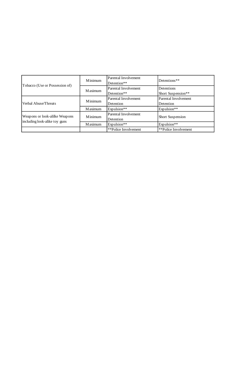| Tobacco (Use or Possession of)                                  | Minimum        | Parental Involvement<br>Detention** | Detentions**                            |
|-----------------------------------------------------------------|----------------|-------------------------------------|-----------------------------------------|
|                                                                 | <b>Maximum</b> | Parental Involvement<br>Detention** | <b>Detentions</b><br>Short Suspension** |
| Verbal Abuse/Threats                                            | Minimum        | Parental Involvement<br>Detention   | Parental Involvement<br>Detention       |
|                                                                 | <b>Maximum</b> | Expulsion**                         | Expulsion**                             |
| Weapons or look-alilke Weapons<br>including look-alike toy guns | Minimum        | Parental Involvement<br>Detention   | Short Suspension                        |
|                                                                 | <b>Maximum</b> | Expulsion**                         | Expulsion**                             |
|                                                                 |                | **Police Involvement                | **Police Involvement                    |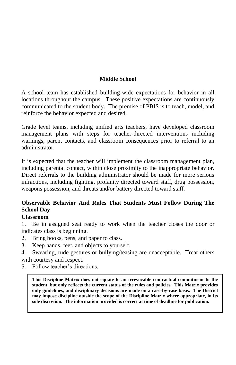### **Middle School**

A school team has established building-wide expectations for behavior in all locations throughout the campus. These positive expectations are continuously communicated to the student body. The premise of PBIS is to teach, model, and reinforce the behavior expected and desired.

Grade level teams, including unified arts teachers, have developed classroom management plans with steps for teacher-directed interventions including warnings, parent contacts, and classroom consequences prior to referral to an administrator.

It is expected that the teacher will implement the classroom management plan, including parental contact, within close proximity to the inappropriate behavior. Direct referrals to the building administrator should be made for more serious infractions, including fighting, profanity directed toward staff, drug possession, weapons possession, and threats and/or battery directed toward staff.

### **Observable Behavior And Rules That Students Must Follow During The School Day**

### **Classroom**

1. Be in assigned seat ready to work when the teacher closes the door or indicates class is beginning.

- 2. Bring books, pens, and paper to class.
- 3. Keep hands, feet, and objects to yourself.
- 4. Swearing, rude gestures or bullying/teasing are unacceptable. Treat others with courtesy and respect.
- 5. Follow teacher's directions.

**This Discipline Matrix does not equate to an irrevocable contractual commitment to the student, but only reflects the current status of the rules and policies. This Matrix provides only guidelines, and disciplinary decisions are made on a case-by-case basis. The District may impose discipline outside the scope of the Discipline Matrix where appropriate, in its sole discretion. The information provided is correct at time of deadline for publication.**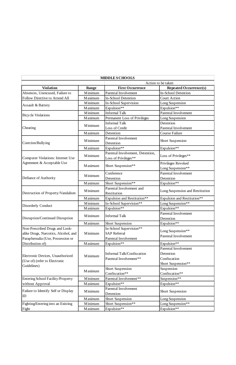|                                      |                 | <b>MIDDLE SCHOOLS</b>             |                                           |  |
|--------------------------------------|-----------------|-----------------------------------|-------------------------------------------|--|
|                                      |                 |                                   | Action to be taken                        |  |
| <b>Violation</b>                     | Range           | <b>First Occurrence</b>           | Repeated Occurrence(s)                    |  |
| Absences, Unexcused, Failure to      | <b>M</b> inimum | Parental Involvement              | <b>In-School Detention</b>                |  |
| Follow Directive to Attend All       | <b>Maximum</b>  | <b>In-School Detention</b>        | <b>Court Action</b>                       |  |
| Assault & Battery                    | M inimum        | In-School Supervision             | Long Suspension                           |  |
|                                      | <b>Maximum</b>  | Expulsion**                       | Expulsion**                               |  |
| <b>Bicycle Violations</b>            | <b>M</b> inimum | <b>Informal Talk</b>              | Parental Involvement                      |  |
|                                      | <b>Maximum</b>  | Permanent Loss of Privileges      | Long Suspension                           |  |
|                                      | M inimum        | <b>Informal Talk</b>              | Detention                                 |  |
| Cheating                             |                 | <b>Loss of Credit</b>             | Parental Involvement                      |  |
|                                      | <b>Maximum</b>  | Detention                         | Course Failure                            |  |
| Coercion/Bullying                    | M inimum        | Parental Involvement<br>Detention | Short Suspension                          |  |
|                                      | <b>Maximum</b>  | Expulsion**                       | Expulsion**                               |  |
|                                      |                 | Parental Involvement, Detention,  |                                           |  |
| Computer Violations: Internet Use    | Minimum         | Loss of Privileges**              | Loss of Privileges**                      |  |
| Agreement & Acceptable Use           | <b>Maximum</b>  | Short Suspension**                | Privileges Revoked                        |  |
|                                      |                 |                                   | Long Suspension**<br>Parental Involvement |  |
|                                      | M inimum        | Conference                        | Detention                                 |  |
| Defiance of Authority                | <b>Maximum</b>  | Detention<br>Short Suspension**   | Expulsion**                               |  |
|                                      |                 | Parental Involvement and          |                                           |  |
| Destruction of Property/Vandalism    | M inimum        | Restitution                       | Long Suspension and Restitution           |  |
|                                      | Maximum         | Expulsion and Restitution**       | Expulsion and Restitution**               |  |
| Disorderly Conduct                   | <b>M</b> inimum | In-School Supervision**           | Long Suspension**                         |  |
|                                      | <b>Maximum</b>  | Expulsion**                       | Expulsion**                               |  |
|                                      | Minimum         | <b>Informal Talk</b>              | Parental Involvement                      |  |
| Disruption/Continued Disruption      |                 |                                   | Detention                                 |  |
|                                      | <b>Maximum</b>  | Short Suspension                  | Expulsion**                               |  |
| Non-Prescribed Drugs and Look-       |                 | In-School Supervision**           | Long Suspension**                         |  |
| alike Drugs, Narcotics, Alcohol, and | M inimum        | <b>SAP</b> Referral               | Parental Involvement                      |  |
| Paraphernalia (Use, Possession or    |                 | Parental Involvement              |                                           |  |
| Distribution of)                     | <b>Maximum</b>  | Expulsion**                       | Expulsion**                               |  |
|                                      |                 |                                   | Parental Involvement                      |  |
| Electronic Devices, Unauthorized     | Minimum         | Informal Talk/Confiscation        | Detention                                 |  |
| (Use of) (refer to Electronic        |                 | Parental Involvement**            | Confiscation                              |  |
| Guidelines)                          |                 |                                   | Short Suspension**                        |  |
|                                      | Maximum         | Short Suspension                  | Suspension                                |  |
|                                      |                 | Confiscation**                    | Confiscation**                            |  |
| Entering School Facility/Property    | M inimum        | Parental Involvement**            | Suspension**                              |  |
| without Approval                     | <b>Maximum</b>  | Expulsion**                       | Expulsion**                               |  |
| Failure to Identify Self or Display  | M inimum        | Parental Involvement              | Short Suspension                          |  |
| ID                                   |                 | Detention                         |                                           |  |
|                                      | <b>Maximum</b>  | Short Suspension                  | Long Suspension                           |  |
| Fighting/Entering into an Existing   | <b>M</b> inimum | Short Suspension**                | Long Suspension**                         |  |
| Fight                                | <b>Maximum</b>  | Expulsion**                       | Expulsion**                               |  |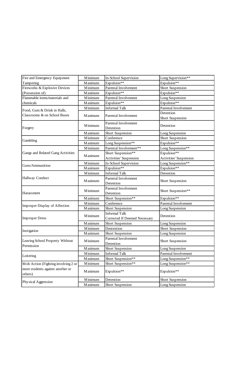| Fire and Emergency Equipment                | <b>M</b> inimum | In-School Supervision                                 | Long Supervision**     |
|---------------------------------------------|-----------------|-------------------------------------------------------|------------------------|
| Tampering                                   | <b>Maximum</b>  | Expulsion**                                           | Expulsion**            |
| Fireworks & Explosive Devices               | <b>M</b> inimum | Parental Involvement                                  | Short Suspension       |
| (Possession of)                             | <b>Maximum</b>  | Expulsion**                                           | Expulsion**            |
| Flammable items/materials and               | <b>M</b> inimum | Parental Involvement                                  | Long Suspension        |
| chemicals                                   | <b>Maximum</b>  | Expulsion**                                           | Expulsion**            |
| Food, Gum & Drink in Halls,                 | M inimum        | <b>Informal Talk</b>                                  | Parental Involvement   |
| Classrooms & on School Buses                |                 |                                                       | Detention              |
|                                             | <b>Maximum</b>  | Parental Involvement                                  | Short Suspension       |
| Forgery                                     | M inimum        | Parental Involvement<br>Detention                     | Detention              |
|                                             | <b>Maximum</b>  | Short Suspension                                      | Long Suspension        |
|                                             | <b>M</b> inimum | Conference                                            | Short Suspension       |
| Gambling                                    | <b>Maximum</b>  | Long Suspension**                                     | Expulsion**            |
|                                             | M inimum        | Parental Involvement**                                | Long Suspension**      |
| Gangs and Related Gang Activities           |                 | Short Suspension**                                    | Expulsion**            |
|                                             | Maximum         | <b>Activities' Suspension</b>                         | Activities' Suspension |
|                                             | M inimum        | In-School Supervision                                 | Long Suspension**      |
| Guns/Ammunition                             | Maximum         | Expulsion**                                           | Expulsion**            |
|                                             | M inimum        | <b>Informal Talk</b>                                  | Detention              |
| Hallway Conduct                             | <b>Maximum</b>  | Parental Involvement                                  |                        |
|                                             |                 | Detention                                             | Short Suspension       |
|                                             | M inimum        | Parental Involvement                                  |                        |
| Harassment                                  |                 | Detention                                             | Short Suspension**     |
|                                             | <b>Maximum</b>  | Short Suspension**                                    | Expulsion**            |
| Improper Display of Affection               | Minimum         | Conference                                            | Parental Involvement   |
|                                             | <b>Maximum</b>  | Short Suspension                                      | Long Suspension        |
| <b>Improper Dress</b>                       | M inimum        | <b>Informal Talk</b><br>Corrected If Deemed Necessary | Detention              |
|                                             | <b>Maximum</b>  | Short Suspension                                      | Long Suspension        |
|                                             | <b>M</b> inimum | Dentention                                            | Short Suspension       |
| Instigation                                 | <b>Maximum</b>  | Short Suspension                                      | Long Suspension        |
|                                             |                 | Parental Involvement                                  |                        |
| Leaving School Property Without             | Minimum         | Detention                                             | Short Suspension       |
| Permission                                  | <b>Maximum</b>  | Short Suspension                                      | Long Suspension        |
|                                             | <b>M</b> inimum | <b>Informal Talk</b>                                  | Parental Involvement   |
| Loitering                                   | <b>Maximum</b>  | Short Suspension**                                    | Long Suspension**      |
| Mob Action (Fighting involving 2 or         | M inimum        | Short Suspension**                                    | Long Suspension**      |
| more students against another or<br>others) | <b>Maximum</b>  | Expulsion**                                           | Expulsion**            |
|                                             | M inimum        | Detention                                             | Short Suspension       |
| Physical Aggression                         | <b>Maximum</b>  | Short Suspension                                      | Long Suspension        |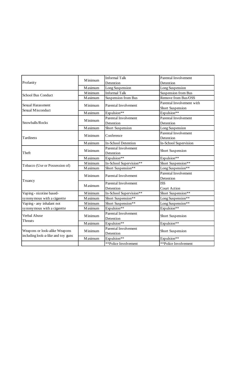| Profanity                          | <b>M</b> inimum | <b>Informal Talk</b>       | Parental Involvement      |
|------------------------------------|-----------------|----------------------------|---------------------------|
|                                    |                 | Detention                  | Detention                 |
|                                    | Maximum         | Long Suspension            | Long Suspension           |
| School Bus Conduct                 | M inimum        | <b>Informal Talk</b>       | Suspension from Bus       |
|                                    | <b>Maximum</b>  | Suspension from Bus        | Remove from Bus/OSS       |
| Sexual Harassment                  | Minimum         | Parental Involvement       | Parental Involvement with |
| Sexual Misconduct                  |                 |                            | Short Suspension          |
|                                    | Maximum         | Expulsion**                | Expulsion**               |
|                                    | M inimum        | Parental Involvement       | Parental Involvement      |
| Snowballs/Rocks                    |                 | Detention                  | Detention                 |
|                                    | <b>Maximum</b>  | Short Suspension           | Long Suspension           |
|                                    | <b>M</b> inimum | Conference                 | Parental Involvement      |
| Tardiness                          |                 |                            | Detention                 |
|                                    | Maximum         | <b>In-School Detention</b> | In-School Supervision     |
|                                    |                 | Parental Involvement       |                           |
| Theft                              | <b>M</b> inimum | Detention                  | Short Suspension          |
|                                    | Maximum         | Expulsion**                | Expulsion**               |
| Tobacco (Use or Possession of)     | M inimum        | In-School Supervision**    | Short Suspension**        |
|                                    | <b>Maximum</b>  | Short Suspension**         | Long Suspension**         |
|                                    | <b>M</b> inimum |                            | Parental Involvement      |
|                                    |                 | Parental Involvement       | Detention                 |
| Truancy                            | Maximum         | Parental Involvement       | <b>ISS</b>                |
|                                    |                 | Detention                  | Court Action              |
| Vaping - nicotine based-           | <b>M</b> inimum | In-School Supervision**    | Short Suspension**        |
| synonymous with a cigarette        | Maximum         | Short Suspension**         | Long Suspension**         |
| Vaping - any inhalant not          | <b>M</b> inimum | Short Suspension**         | Long Suspension**         |
| synonymous with a cigarette        | Maximum         | Expulsion**                | Expulsion**               |
| Verbal Abuse                       | M inimum        | Parental Involvement       |                           |
|                                    |                 | Detention                  | Short Suspension          |
| Threats                            | <b>Maximum</b>  | Expulsion**                | Expulsion**               |
| Weapons or look-alike Weapons      |                 | Parental Involvement       |                           |
|                                    | Minimum         | Detention                  | Short Suspension          |
| including look-a-like and toy guns | <b>Maximum</b>  | Expulsion**                | Expulsion**               |
|                                    |                 | **Police Involvement       | **Police Involvement      |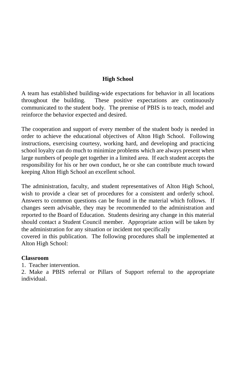### **High School**

A team has established building-wide expectations for behavior in all locations throughout the building. These positive expectations are continuously communicated to the student body. The premise of PBIS is to teach, model and reinforce the behavior expected and desired.

The cooperation and support of every member of the student body is needed in order to achieve the educational objectives of Alton High School. Following instructions, exercising courtesy, working hard, and developing and practicing school loyalty can do much to minimize problems which are always present when large numbers of people get together in a limited area. If each student accepts the responsibility for his or her own conduct, he or she can contribute much toward keeping Alton High School an excellent school.

The administration, faculty, and student representatives of Alton High School, wish to provide a clear set of procedures for a consistent and orderly school. Answers to common questions can be found in the material which follows. If changes seem advisable, they may be recommended to the administration and reported to the Board of Education. Students desiring any change in this material should contact a Student Council member. Appropriate action will be taken by the administration for any situation or incident not specifically

covered in this publication. The following procedures shall be implemented at Alton High School:

#### **Classroom**

1. Teacher intervention.

2. Make a PBIS referral or Pillars of Support referral to the appropriate individual.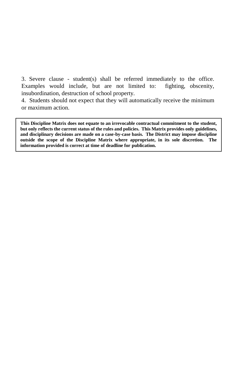3. Severe clause - student(s) shall be referred immediately to the office. Examples would include, but are not limited to: fighting, obscenity, insubordination, destruction of school property.

4. Students should not expect that they will automatically receive the minimum or maximum action.

**This Discipline Matrix does not equate to an irrevocable contractual commitment to the student, but only reflects the current status of the rules and policies. This Matrix provides only guidelines, and disciplinary decisions are made on a case-by-case basis. The District may impose discipline outside the scope of the Discipline Matrix where appropriate, in its sole discretion. The information provided is correct at time of deadline for publication.**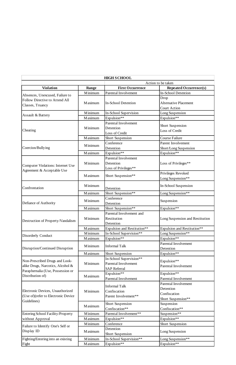|                                     |                | <b>HIGH S CHOOL</b>         |                                 |
|-------------------------------------|----------------|-----------------------------|---------------------------------|
|                                     |                |                             | Action to be taken              |
| <b>Violation</b>                    | Range          | <b>First Occurrence</b>     | <b>Repeated Occurrence(s)</b>   |
|                                     | M inimum       | Parental Involvement        | In-School Detention             |
| Absences, Unexcused, Failure to     |                |                             | Drop                            |
| Follow Directive to Attend All      | M aximum       | In-School Detention         | <b>Alternative Placement</b>    |
| Classes, Truancy                    |                |                             | Court Action                    |
|                                     | M inimum       | In-School Supervision       | Long Suspension                 |
| Assault & Battery                   | <b>Maximum</b> | Expulsion**                 | Expulsion**                     |
|                                     |                | Parental Involvement        |                                 |
|                                     | M inimum       | Detention                   | Short Suspension                |
| Cheating                            |                | Loss of Credit              | Loss of Credit                  |
|                                     | <b>Maximum</b> | Short Suspension            | Course Failure                  |
|                                     |                | Conference                  | Parent Involvement              |
| Coercion/Bullying                   | M inimum       | Detention                   | Short/Long Suspension           |
|                                     | <b>Maximum</b> | Expulsion**                 | Expulsion**                     |
|                                     |                | Parental Involvement        |                                 |
|                                     | M inimum       | Detention                   | Loss of Privileges**            |
| Computer Violations: Internet Use   |                | Loss of Privileges**        |                                 |
| Agreement & Acceptable Use          |                |                             | Privileges Revoked              |
|                                     | <b>Maximum</b> | Short Suspension**          | Long Suspension**               |
|                                     |                |                             |                                 |
| Confrontation                       | M inimum       | Detention                   | In-School Suspension            |
|                                     | <b>Maximum</b> | Short Suspension**          | Long Suspension**               |
|                                     |                | Conference                  |                                 |
| Defiance of Authority               | M inimum       | Detention                   | Suspension                      |
|                                     | <b>Maximum</b> | Short Suspension**          | Expulsion**                     |
|                                     |                | Parental Involvement and    |                                 |
|                                     | M inimum       | Restitution                 | Long Suspension and Restitution |
| Destruction of Property/Vandalism   |                | Detention                   |                                 |
|                                     | <b>Maximum</b> | Expulsion and Restitution** | Expulsion and Restitution**     |
|                                     | M inimum       | In-School Supervision**     | Long Suspension**               |
| Disorderly Conduct                  | <b>Maximum</b> | Expulsion**                 | Expulsion**                     |
|                                     |                |                             | Parental Involvement            |
|                                     | M inimum       | <b>Informal Talk</b>        | Detention                       |
| Disruption/Continued Disruption     |                |                             |                                 |
|                                     | <b>Maximum</b> | Short Suspension            | Expulsion**                     |
| Non-Prescribed Drugs and Look-      |                | In-School Supervision**     | Expulsion**                     |
| alike Drugs, Narcotics, Alcohol &   | M inimum       | Parental Involvement        | Parental Involvement            |
| Paraphernalia (Use, Possession or   |                | <b>SAP</b> Referral         |                                 |
| Distribution of)                    | <b>Maximum</b> | Expulsion**                 | Expulsion**                     |
|                                     |                | Parental Involvement        | Parental Involvement            |
|                                     |                | <b>Informal Talk</b>        | Parental Involvement            |
| Electronic Devices, Unauthorized    | M inimum       | Confiscation                | Detention                       |
| (Use of)(refer to Electronic Device |                | Parent Involvement**        | Confiscation                    |
| Guidelines)                         |                |                             | Short Suspension**              |
|                                     | <b>Maximum</b> | Short Suspension            | Suspension                      |
|                                     |                | Confiscation**              | Confiscation**                  |
| Entering School Facility/Property   | M inimum       | Parental Involvement**      | Suspension**                    |
| without Approval                    | <b>Maximum</b> | Expulsion**                 | Expulsion**                     |
| Failure to Identify One's Self or   | M inimum       | Conference                  | Short Suspension                |
| Display ID                          | <b>Maximum</b> | Detention                   | Long Suspension                 |
|                                     |                | Short Suspension            |                                 |
| Fighting/Entering into an existing  | M inimum       | In-School Supervision**     | Long Suspension**               |
| Fight                               | <b>Maximum</b> | Expulsion**                 | Expulsion**                     |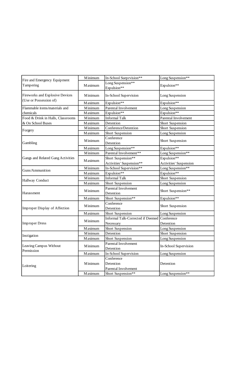| Fire and Emergency Equipment<br>Tampering | Minimum        | In-School Sueprvision**                         | Long Suspension**             |
|-------------------------------------------|----------------|-------------------------------------------------|-------------------------------|
|                                           | <b>Maximum</b> | Long Suspension**<br>Expulsion**                | Expulsion**                   |
| Fireworks and Explosive Devices           | Minimum        | In-School Supervision                           | Long Suspension               |
| (Use or Possession of)                    | <b>Maximum</b> | Expulsion**                                     | Expulsion**                   |
| Flammable items/materials and             | Minimum        | Parental Involvement                            | Long Suspension               |
| chemicals                                 | <b>Maximum</b> | Expulsion**                                     | Expulsion**                   |
| Food & Drink in Halls, Classrooms         | Minimum        | <b>Informal Talk</b>                            | Parental Involvement          |
| & On School Buses                         | <b>Maximum</b> | Detention                                       | Short Suspension              |
| Forgery                                   | Minimum        | Conference/Detention                            | Short Suspension              |
|                                           | <b>Maximum</b> | Short Suspension                                | Long Suspension               |
| Gambling                                  | Minimum        | Conference<br>Detention                         | Short Suspension              |
|                                           | <b>Maximum</b> | Long Suspension**                               | Expulsion**                   |
|                                           | Minimum        | Parental Involvement**                          | Long Suspension**             |
| Gangs and Related Gang Activities         |                | Short Suspension**                              | Expulsion**                   |
|                                           | <b>Maximum</b> | Activities' Suspension**                        | <b>Activities' Suspension</b> |
| Guns/Ammunition                           | Minimum        | In-School Supervision**                         | Long Suspension**             |
|                                           | <b>Maximum</b> | Expulsion**                                     | Expulsion**                   |
|                                           | Minimum        | <b>Informal Talk</b>                            | Short Suspension              |
| Hallway Conduct                           | <b>Maximum</b> | Short Suspension                                | Long Suspension               |
| Harassment                                | Minimum        | Parental Involvement<br>Detention               | Short Suspension**            |
|                                           | <b>Maximum</b> | Short Suspension**                              | Expulsion**                   |
| Improper Display of Affection             | Minimum        | Conference<br>Detention                         | Short Suspension              |
|                                           | <b>Maximum</b> | Short Suspension                                | Long Suspension               |
| <b>Improper Dress</b>                     | Minimum        | Informal Talk-Corrected if Deemed<br>Necessary  | Conference<br>Detention       |
|                                           | <b>Maximum</b> | Short Suspension                                | Long Suspension               |
|                                           | Minimum        | Detention                                       | Short Suspension              |
| Instigation                               | Maximum        | Short Suspension                                | Long Suspension               |
| Leaving Campus Without<br>Permission      | Minimum        | Parental Involvement<br>Detention               | In-School Supervision         |
|                                           | <b>Maximum</b> | In-School Supervision                           | Long Suspension               |
| Loitering                                 | Minimum        | Conference<br>Detention<br>Parental Involvement | Detention                     |
|                                           | <b>Maximum</b> | Short Suspension**                              | Long Suspension**             |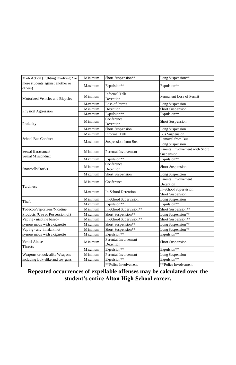| Mob Action (Fighting involving 2 or         | Minimum        | Short Suspension**                | Long Suspension**                             |
|---------------------------------------------|----------------|-----------------------------------|-----------------------------------------------|
| more students against another or<br>others) | Maximum        | Expulsion**                       | Expulsion**                                   |
| Motorized Vehicles and Bicycles             | Minimum        | <b>Informal Talk</b><br>Detention | Permanent Loss of Permit                      |
|                                             | <b>Maximum</b> | Loss of Permit                    | Long Suspension                               |
| Physical Aggression                         | Minimum        | Detention                         | Short Suspension                              |
|                                             | <b>Maximum</b> | Expulsion**                       | Expulsion**                                   |
| Profanity                                   | Minimum        | Conference<br>Detention           | Short Suspension                              |
|                                             | <b>Maximum</b> | Short Suspension                  | Long Suspension                               |
|                                             | Minimum        | <b>Informal Talk</b>              | <b>Bus Suspension</b>                         |
| School Bus Conduct                          | Maximum        | Suspension from Bus               | <b>Removal from Bus</b><br>Long Suspension    |
| Sexual Harassment<br>Sexual Misconduct      | Minimum        | Parental Involvement              | Parental Involvement with Short<br>Suspension |
|                                             | <b>Maximum</b> | Expulsion**                       | Expulsion**                                   |
| Snowballs/Rocks                             | Minimum        | Conference<br>Detention           | Short Suspension                              |
|                                             | <b>Maximum</b> | Short Suspension                  | Long Suspencion                               |
| Tardiness                                   | Minimum        | Conference                        | Parental Involvement<br>Detention             |
|                                             | Maximum        | <b>In-School Detention</b>        | In-School Supervision<br>Short Suspension     |
| Theft                                       | Minimum        | In-School Supervision             | Long Suspension                               |
|                                             | Maximum        | Expulsion**                       | Expulsion**                                   |
| Tobacco/Vaporizers/Nicotine                 | Minimum        | In-School Supervision**           | Short Suspension**                            |
| Products (Use or Possession of)             | <b>Maximum</b> | Short Suspension**                | Long Suspension**                             |
| Vaping - nicotine based-                    | Minimum        | In-School Supervision**           | Short Suspension**                            |
| synonymous with a cigarette                 | <b>Maximum</b> | Short Suspension**                | Long Suspension**                             |
| Vaping - any inhalant not                   | Minimum        | Short Suspension**                | Long Suspension**                             |
| synonymous with a cigarette                 | <b>Maximum</b> | Expulsion**                       | Expulsion**                                   |
| Verbal Abuse<br>Threats                     | Minimum        | Parental Involvement<br>Detention | Short Suspension                              |
|                                             | <b>Maximum</b> | Expulsion**                       | Expulsion**                                   |
| Weapons or look-alike Weapons               | Minimum        | Parental Involvement              | Long Suspension                               |
| including look-alike and toy guns           | <b>Maximum</b> | Expulsion**                       | Expulsion**                                   |
|                                             |                | **Police Involvement              | **Police Involvement                          |

**Repeated occurrences of expellable offenses may be calculated over the student's entire Alton High School career.**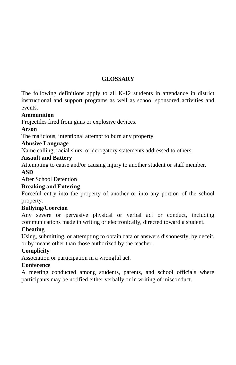### **GLOSSARY**

The following definitions apply to all K-12 students in attendance in district instructional and support programs as well as school sponsored activities and events.

### **Ammunition**

Projectiles fired from guns or explosive devices.

### **Arson**

The malicious, intentional attempt to burn any property.

### **Abusive Language**

Name calling, racial slurs, or derogatory statements addressed to others.

### **Assault and Battery**

Attempting to cause and/or causing injury to another student or staff member.

### **ASD**

After School Detention

### **Breaking and Entering**

Forceful entry into the property of another or into any portion of the school property.

### **Bullying/Coercion**

Any severe or pervasive physical or verbal act or conduct, including communications made in writing or electronically, directed toward a student.

### **Cheating**

Using, submitting, or attempting to obtain data or answers dishonestly, by deceit, or by means other than those authorized by the teacher.

### **Complicity**

Association or participation in a wrongful act.

### **Conference**

A meeting conducted among students, parents, and school officials where participants may be notified either verbally or in writing of misconduct.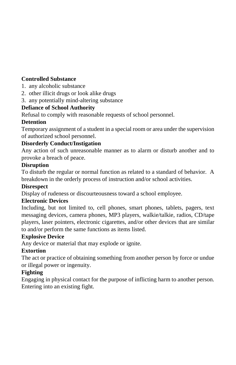### **Controlled Substance**

- 1. any alcoholic substance
- 2. other illicit drugs or look alike drugs
- 3. any potentially mind-altering substance

### **Defiance of School Authority**

Refusal to comply with reasonable requests of school personnel.

### **Detention**

Temporary assignment of a student in a special room or area under the supervision of authorized school personnel.

### **Disorderly Conduct/Instigation**

Any action of such unreasonable manner as to alarm or disturb another and to provoke a breach of peace.

### **Disruption**

To disturb the regular or normal function as related to a standard of behavior. A breakdown in the orderly process of instruction and/or school activities.

### **Disrespect**

Display of rudeness or discourteousness toward a school employee.

### **Electronic Devices**

Including, but not limited to, cell phones, smart phones, tablets, pagers, text messaging devices, camera phones, MP3 players, walkie/talkie, radios, CD/tape players, laser pointers, electronic cigarettes, and/or other devices that are similar to and/or perform the same functions as items listed.

### **Explosive Device**

Any device or material that may explode or ignite.

### **Extortion**

The act or practice of obtaining something from another person by force or undue or illegal power or ingenuity.

### **Fighting**

Engaging in physical contact for the purpose of inflicting harm to another person. Entering into an existing fight.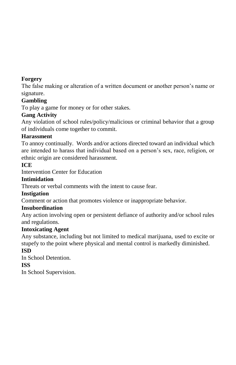### **Forgery**

The false making or alteration of a written document or another person's name or signature.

### **Gambling**

To play a game for money or for other stakes.

### **Gang Activity**

Any violation of school rules/policy/malicious or criminal behavior that a group of individuals come together to commit.

### **Harassment**

To annoy continually. Words and/or actions directed toward an individual which are intended to harass that individual based on a person's sex, race, religion, or ethnic origin are considered harassment.

### **ICE**

Intervention Center for Education

### **Intimidation**

Threats or verbal comments with the intent to cause fear.

### **Instigation**

Comment or action that promotes violence or inappropriate behavior.

### **Insubordination**

Any action involving open or persistent defiance of authority and/or school rules and regulations.

### **Intoxicating Agent**

Any substance, including but not limited to medical marijuana, used to excite or stupefy to the point where physical and mental control is markedly diminished. **ISD**

In School Detention.

### **ISS**

In School Supervision.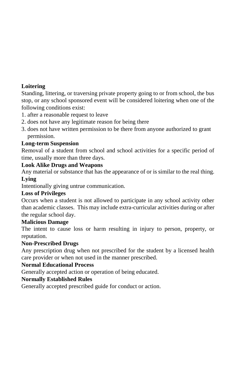### **Loitering**

Standing, littering, or traversing private property going to or from school, the bus stop, or any school sponsored event will be considered loitering when one of the following conditions exist:

- 1. after a reasonable request to leave
- 2. does not have any legitimate reason for being there
- 3. does not have written permission to be there from anyone authorized to grant permission.

### **Long-term Suspension**

Removal of a student from school and school activities for a specific period of time, usually more than three days.

#### **Look Alike Drugs and Weapons**

Any material or substance that has the appearance of or is similar to the real thing.

#### **Lying**

Intentionally giving untrue communication.

#### **Loss of Privileges**

Occurs when a student is not allowed to participate in any school activity other than academic classes. This may include extra-curricular activities during or after the regular school day.

### **Malicious Damage**

The intent to cause loss or harm resulting in injury to person, property, or reputation.

### **Non-Prescribed Drugs**

Any prescription drug when not prescribed for the student by a licensed health care provider or when not used in the manner prescribed.

### **Normal Educational Process**

Generally accepted action or operation of being educated.

### **Normally Established Rules**

Generally accepted prescribed guide for conduct or action.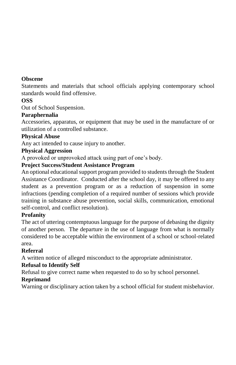#### **Obscene**

Statements and materials that school officials applying contemporary school standards would find offensive.

### **OSS**

Out of School Suspension.

### **Paraphernalia**

Accessories, apparatus, or equipment that may be used in the manufacture of or utilization of a controlled substance.

### **Physical Abuse**

Any act intended to cause injury to another.

### **Physical Aggression**

A provoked or unprovoked attack using part of one's body.

### **Project Success/Student Assistance Program**

An optional educational support program provided to students through the Student Assistance Coordinator. Conducted after the school day, it may be offered to any student as a prevention program or as a reduction of suspension in some infractions (pending completion of a required number of sessions which provide training in substance abuse prevention, social skills, communication, emotional self-control, and conflict resolution).

### **Profanity**

The act of uttering contemptuous language for the purpose of debasing the dignity of another person. The departure in the use of language from what is normally considered to be acceptable within the environment of a school or school-related area.

### **Referral**

A written notice of alleged misconduct to the appropriate administrator.

### **Refusal to Identify Self**

Refusal to give correct name when requested to do so by school personnel.

### **Reprimand**

Warning or disciplinary action taken by a school official for student misbehavior.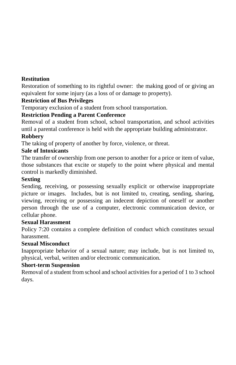### **Restitution**

Restoration of something to its rightful owner: the making good of or giving an equivalent for some injury (as a loss of or damage to property).

### **Restriction of Bus Privileges**

Temporary exclusion of a student from school transportation.

### **Restriction Pending a Parent Conference**

Removal of a student from school, school transportation, and school activities until a parental conference is held with the appropriate building administrator.

### **Robbery**

The taking of property of another by force, violence, or threat.

### **Sale of Intoxicants**

The transfer of ownership from one person to another for a price or item of value, those substances that excite or stupefy to the point where physical and mental control is markedly diminished.

### **Sexting**

Sending, receiving, or possessing sexually explicit or otherwise inappropriate picture or images. Includes, but is not limited to, creating, sending, sharing, viewing, receiving or possessing an indecent depiction of oneself or another person through the use of a computer, electronic communication device, or cellular phone.

### **Sexual Harassment**

Policy 7:20 contains a complete definition of conduct which constitutes sexual harassment.

### **Sexual Misconduct**

Inappropriate behavior of a sexual nature; may include, but is not limited to, physical, verbal, written and/or electronic communication.

### **Short-term Suspension**

Removal of a student from school and school activities for a period of 1 to 3 school days.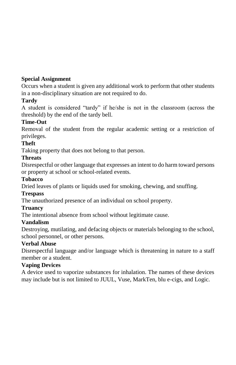### **Special Assignment**

Occurs when a student is given any additional work to perform that other students in a non-disciplinary situation are not required to do.

### **Tardy**

A student is considered "tardy" if he/she is not in the classroom (across the threshold) by the end of the tardy bell.

### **Time-Out**

Removal of the student from the regular academic setting or a restriction of privileges.

### **Theft**

Taking property that does not belong to that person.

### **Threats**

Disrespectful or other language that expresses an intent to do harm toward persons or property at school or school-related events.

### **Tobacco**

Dried leaves of plants or liquids used for smoking, chewing, and snuffing.

### **Trespass**

The unauthorized presence of an individual on school property.

### **Truancy**

The intentional absence from school without legitimate cause.

### **Vandalism**

Destroying, mutilating, and defacing objects or materials belonging to the school, school personnel, or other persons.

### **Verbal Abuse**

Disrespectful language and/or language which is threatening in nature to a staff member or a student.

### **Vaping Devices**

A device used to vaporize substances for inhalation. The names of these devices may include but is not limited to JUUL, Vuse, MarkTen, blu e-cigs, and Logic.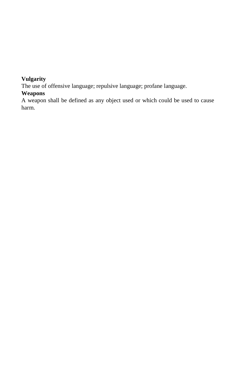### **Vulgarity**

The use of offensive language; repulsive language; profane language.

### **Weapons**

A weapon shall be defined as any object used or which could be used to cause harm.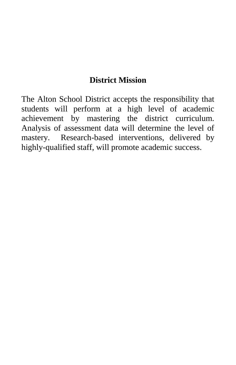## **District Mission**

The Alton School District accepts the responsibility that students will perform at a high level of academic achievement by mastering the district curriculum. Analysis of assessment data will determine the level of mastery. Research-based interventions, delivered by highly-qualified staff, will promote academic success.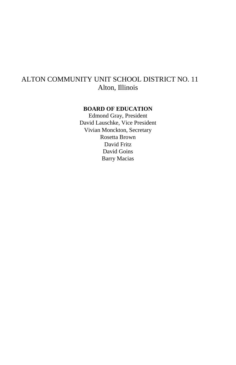## ALTON COMMUNITY UNIT SCHOOL DISTRICT NO. 11 Alton, Illinois

#### **BOARD OF EDUCATION**

Edmond Gray, President David Lauschke, Vice President Vivian Monckton, Secretary Rosetta Brown David Fritz David Goins Barry Macias